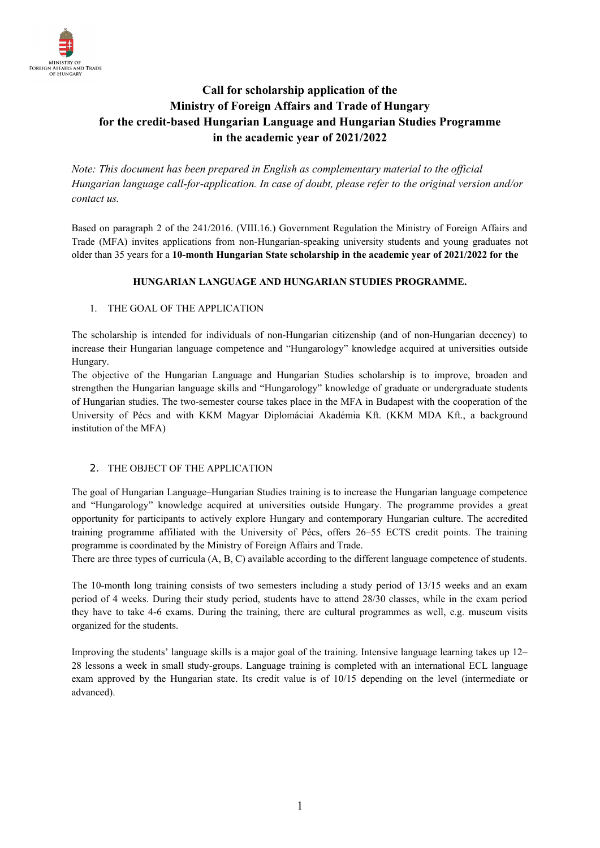

# **Call for scholarship application of the Ministry of Foreign Affairs and Trade of Hungary for the credit-based Hungarian Language and Hungarian Studies Programme in the academic year of 2021/2022**

*Note: This document has been prepared in English as complementary material to the official Hungarian language call-for-application. In case of doubt, please refer to the original version and/or contact us.*

Based on paragraph 2 of the 241/2016. (VIII.16.) Government Regulation the Ministry of Foreign Affairs and Trade (MFA) invites applications from non-Hungarian-speaking university students and young graduates not older than 35 years for a **10-month Hungarian State scholarship in the academic year of 2021/2022 for the**

# **HUNGARIAN LANGUAGE AND HUNGARIAN STUDIES PROGRAMME.**

# 1. THE GOAL OF THE APPLICATION

The scholarship is intended for individuals of non-Hungarian citizenship (and of non-Hungarian decency) to increase their Hungarian language competence and "Hungarology" knowledge acquired at universities outside Hungary.

The objective of the Hungarian Language and Hungarian Studies scholarship is to improve, broaden and strengthen the Hungarian language skills and "Hungarology" knowledge of graduate or undergraduate students of Hungarian studies. The two-semester course takes place in the MFA in Budapest with the cooperation of the University of Pécs and with KKM Magyar Diplomáciai Akadémia Kft. (KKM MDA Kft., a background institution of the MFA)

# 2. THE OBJECT OF THE APPLICATION

The goal of Hungarian Language–Hungarian Studies training is to increase the Hungarian language competence and "Hungarology" knowledge acquired at universities outside Hungary. The programme provides a great opportunity for participants to actively explore Hungary and contemporary Hungarian culture. The accredited training programme affiliated with the University of Pécs, offers 26–55 ECTS credit points. The training programme is coordinated by the Ministry of Foreign Affairs and Trade.

There are three types of curricula (A, B, C) available according to the different language competence of students.

The 10-month long training consists of two semesters including a study period of 13/15 weeks and an exam period of 4 weeks. During their study period, students have to attend 28/30 classes, while in the exam period they have to take 4-6 exams. During the training, there are cultural programmes as well, e.g. museum visits organized for the students.

Improving the students' language skills is a major goal of the training. Intensive language learning takes up 12– 28 lessons a week in small study-groups. Language training is completed with an international ECL language exam approved by the Hungarian state. Its credit value is of 10/15 depending on the level (intermediate or advanced).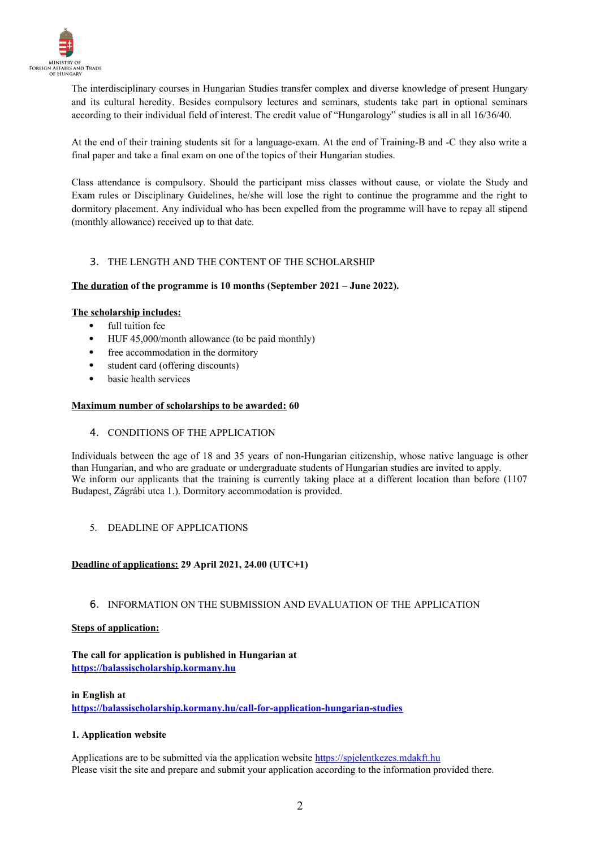

The interdisciplinary courses in Hungarian Studies transfer complex and diverse knowledge of present Hungary and its cultural heredity. Besides compulsory lectures and seminars, students take part in optional seminars according to their individual field of interest. The credit value of "Hungarology" studies is all in all 16/36/40.

At the end of their training students sit for a language-exam. At the end of Training-B and -C they also write a final paper and take a final exam on one of the topics of their Hungarian studies.

Class attendance is compulsory. Should the participant miss classes without cause, or violate the Study and Exam rules or Disciplinary Guidelines, he/she will lose the right to continue the programme and the right to dormitory placement. Any individual who has been expelled from the programme will have to repay all stipend (monthly allowance) received up to that date.

# 3. THE LENGTH AND THE CONTENT OF THE SCHOLARSHIP

# The duration of the programme is 10 months (September 2021 – June 2022).

#### **The scholarship includes:**

- full tuition fee
- HUF 45,000/month allowance (to be paid monthly)
- free accommodation in the dormitory
- student card (offering discounts)
- basic health services

#### **Maximum number of scholarships to be awarded: 60**

4. CONDITIONS OF THE APPLICATION

Individuals between the age of 18 and 35 years of non-Hungarian citizenship, whose native language is other than Hungarian, and who are graduate or undergraduate students of Hungarian studies are invited to apply. We inform our applicants that the training is currently taking place at a different location than before (1107) Budapest, Zágrábi utca 1.). Dormitory accommodation is provided.

5. DEADLINE OF APPLICATIONS

# **Deadline of applications: 29 April 2021, 24.00 (UTC+1)**

# 6. INFORMATION ON THE SUBMISSION AND EVALUATION OF THE APPLICATION

#### **Steps of application:**

#### **The call for application is published in Hungarian at [https://balassischolarship.kormany.hu](https://balassischolarship.kormany.hu/)**

**in English at https://balassischolarship.kormany.hu/call-for-application-hungarian-studies**

# **1. Application website**

Applications are to be submitted via the application website [https://spjelentkezes.mdakft.hu](https://spjelentkezes.mdakft.hu/) Please visit the site and prepare and submit your application according to the information provided there.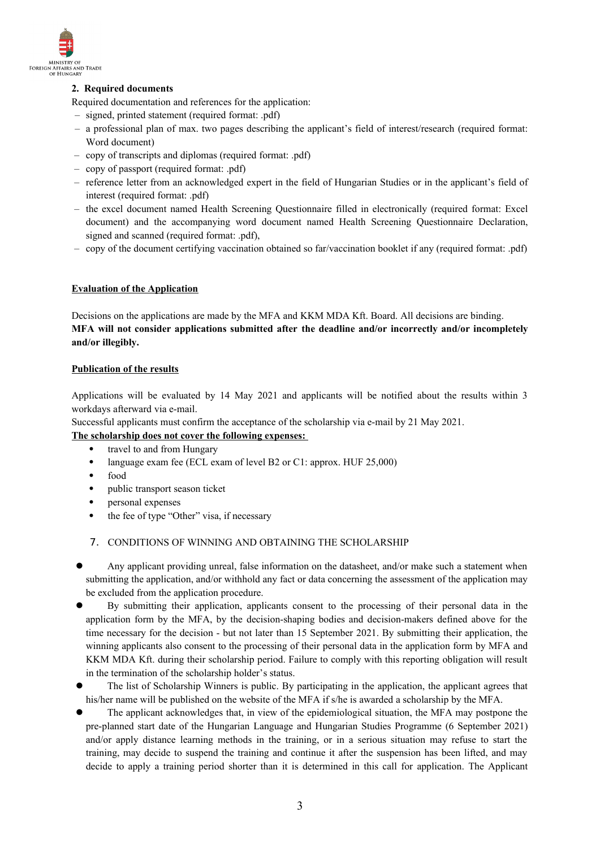

# **2. Required documents**

- Required documentation and references for the application:
- signed, printed statement (required format: .pdf)
- a professional plan of max. two pages describing the applicant's field of interest/research (required format: Word document)
- copy of transcripts and diplomas (required format: .pdf)
- copy of passport (required format: .pdf)
- reference letter from an acknowledged expert in the field of Hungarian Studies or in the applicant's field of interest (required format: .pdf)
- the excel document named Health Screening Questionnaire filled in electronically (required format: Excel document) and the accompanying word document named Health Screening Questionnaire Declaration, signed and scanned (required format: .pdf),
- copy of the document certifying vaccination obtained so far/vaccination booklet if any (required format: .pdf)

#### **Evaluation of the Application**

Decisions on the applications are made by the MFA and KKM MDA Kft. Board. All decisions are binding. **MFA will not consider applications submitted after the deadline and/or incorrectly and/or incompletely and/or illegibly.**

#### **Publication of the results**

Applications will be evaluated by 14 May 2021 and applicants will be notified about the results within 3 workdays afterward via e-mail.

Successful applicants must confirm the acceptance of the scholarship via e-mail by 21 May 2021.

### **The scholarship does not cover the following expenses:**

- travel to and from Hungary
- language exam fee (ECL exam of level B2 or C1: approx. HUF 25,000)
- food
- public transport season ticket
- personal expenses
- the fee of type "Other" visa, if necessary
- 7. CONDITIONS OF WINNING AND OBTAINING THE SCHOLARSHIP
- Any applicant providing unreal, false information on the datasheet, and/or make such a statement when submitting the application, and/or withhold any fact or data concerning the assessment of the application may be excluded from the application procedure.
- By submitting their application, applicants consent to the processing of their personal data in the application form by the MFA, by the decision-shaping bodies and decision-makers defined above for the time necessary for the decision - but not later than 15 September 2021. By submitting their application, the winning applicants also consent to the processing of their personal data in the application form by MFA and KKM MDA Kft. during their scholarship period. Failure to comply with this reporting obligation will result in the termination of the scholarship holder's status.
- The list of Scholarship Winners is public. By participating in the application, the applicant agrees that his/her name will be published on the website of the MFA if s/he is awarded a scholarship by the MFA.
- The applicant acknowledges that, in view of the epidemiological situation, the MFA may postpone the pre-planned start date of the Hungarian Language and Hungarian Studies Programme (6 September 2021) and/or apply distance learning methods in the training, or in a serious situation may refuse to start the training, may decide to suspend the training and continue it after the suspension has been lifted, and may decide to apply a training period shorter than it is determined in this call for application. The Applicant